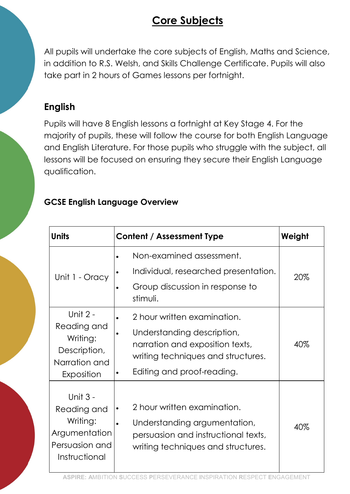# Core Subjects

All pupils will undertake the core subjects of English, Maths and Science, in addition to R.S. Welsh, and Skills Challenge Certificate. Pupils will also take part in 2 hours of Games lessons per fortnight.

### English

Pupils will have 8 English lessons a fortnight at Key Stage 4. For the majority of pupils, these will follow the course for both English Language and English Literature. For those pupils who struggle with the subject, all lessons will be focused on ensuring they secure their English Language qualification.

#### GCSE English Language Overview

| <b>Units</b>                                                                            | Content / Assessment Type                                                                                                                                                     | Weight |
|-----------------------------------------------------------------------------------------|-------------------------------------------------------------------------------------------------------------------------------------------------------------------------------|--------|
| Unit 1 - Oracy                                                                          | Non-examined assessment.<br>Individual, researched presentation.<br>Group discussion in response to<br>stimuli.                                                               | 20%    |
| Unit 2 -<br>Reading and<br>Writing:<br>Description,<br>Narration and<br>Exposition      | 2 hour written examination.<br>$\bullet$<br>Understanding description,<br>narration and exposition texts,<br>writing techniques and structures.<br>Editing and proof-reading. | 40%    |
| Unit 3 -<br>Reading and<br>Writing:<br>Argumentation<br>Persuasion and<br>Instructional | 2 hour written examination.<br>$\bullet$<br>Understanding argumentation,<br>persuasion and instructional texts,<br>writing techniques and structures.                         | 40%    |

ASPIRE: AMBITION SUCCESS PERSEVERANCE INSPIRATION RESPECT ENGAGEMENT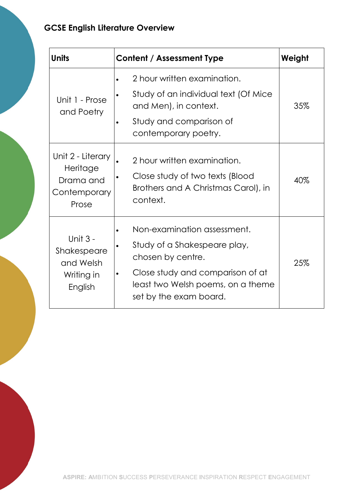### GCSE English Literature Overview

| <b>Units</b>                                                        | <b>Content / Assessment Type</b>                                                                                                                                                                 | Weight |
|---------------------------------------------------------------------|--------------------------------------------------------------------------------------------------------------------------------------------------------------------------------------------------|--------|
| Unit 1 - Prose<br>and Poetry                                        | 2 hour written examination.<br>Study of an individual text (Of Mice<br>and Men), in context.<br>Study and comparison of<br>contemporary poetry.                                                  | 35%    |
| Unit 2 - Literary<br>Heritage<br>Drama and<br>Contemporary<br>Prose | 2 hour written examination.<br>Close study of two texts (Blood<br>Brothers and A Christmas Carol), in<br>context.                                                                                | 40%    |
| Unit 3 -<br>Shakespeare<br>and Welsh<br>Writing in<br>English       | Non-examination assessment.<br>Study of a Shakespeare play,<br>chosen by centre.<br>Close study and comparison of at<br>$\bullet$<br>least two Welsh poems, on a theme<br>set by the exam board. | 25%    |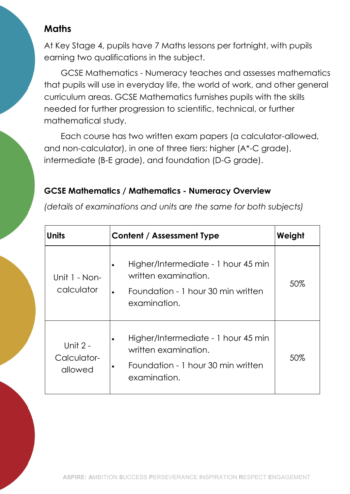# **Maths**

At Key Stage 4, pupils have 7 Maths lessons per fortnight, with pupils earning two qualifications in the subject.

GCSE Mathematics - Numeracy teaches and assesses mathematics that pupils will use in everyday life, the world of work, and other general curriculum areas. GCSE Mathematics furnishes pupils with the skills needed for further progression to scientific, technical, or further mathematical study.

Each course has two written exam papers (a calculator-allowed, and non-calculator), in one of three tiers: higher (A\*-C grade), intermediate (B-E grade), and foundation (D-G grade).

### GCSE Mathematics / Mathematics - Numeracy Overview

(details of examinations and units are the same for both subjects)

| <b>Units</b>                       | Content / Assessment Type                                                                                         | Weight |
|------------------------------------|-------------------------------------------------------------------------------------------------------------------|--------|
| Unit 1 - Non-<br>calculator        | Higher/Intermediate - 1 hour 45 min<br>written examination.<br>Foundation - 1 hour 30 min written<br>examination. | 50%    |
| Unit 2 -<br>Calculator-<br>allowed | Higher/Intermediate - 1 hour 45 min<br>written examination.<br>Foundation - 1 hour 30 min written<br>examination. | 50%    |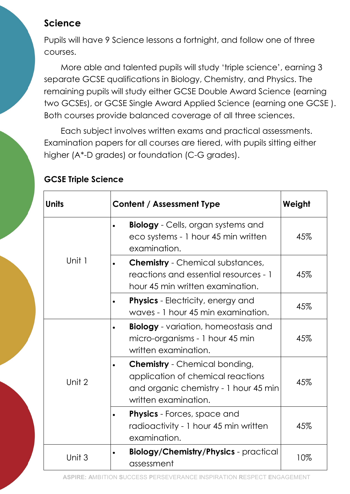## Science

Pupils will have 9 Science lessons a fortnight, and follow one of three courses.

More able and talented pupils will study 'triple science', earning 3 separate GCSE qualifications in Biology, Chemistry, and Physics. The remaining pupils will study either GCSE Double Award Science (earning two GCSEs), or GCSE Single Award Applied Science (earning one GCSE ). Both courses provide balanced coverage of all three sciences.

Each subject involves written exams and practical assessments. Examination papers for all courses are tiered, with pupils sitting either higher (A\*-D grades) or foundation (C-G grades).

### GCSE Triple Science

| <b>Units</b> | Content / Assessment Type                                                                                                                  | Weight |
|--------------|--------------------------------------------------------------------------------------------------------------------------------------------|--------|
| Unit 1       | <b>Biology</b> - Cells, organ systems and<br>eco systems - 1 hour 45 min written<br>examination.                                           | 45%    |
|              | <b>Chemistry</b> - Chemical substances,<br>reactions and essential resources - 1<br>hour 45 min written examination.                       | 45%    |
|              | <b>Physics</b> - Electricity, energy and<br>waves - 1 hour 45 min examination.                                                             | 45%    |
| Unit 2       | <b>Biology</b> - variation, homeostasis and<br>micro-organisms - 1 hour 45 min<br>written examination.                                     | 45%    |
|              | <b>Chemistry</b> - Chemical bonding,<br>application of chemical reactions<br>and organic chemistry - 1 hour 45 min<br>written examination. | 45%    |
|              | <b>Physics</b> - Forces, space and<br>radioactivity - 1 hour 45 min written<br>examination.                                                | 45%    |
| Unit 3       | <b>Biology/Chemistry/Physics</b> - practical<br>assessment                                                                                 | 10%    |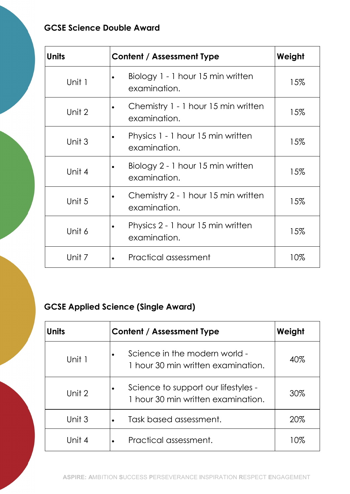### GCSE Science Double Award

| Units  | Content / Assessment Type                           | Weight |
|--------|-----------------------------------------------------|--------|
| Unit 1 | Biology 1 - 1 hour 15 min written<br>examination.   | 15%    |
| Unit 2 | Chemistry 1 - 1 hour 15 min written<br>examination. | 15%    |
| Unit 3 | Physics 1 - 1 hour 15 min written<br>examination.   | 15%    |
| Unit 4 | Biology 2 - 1 hour 15 min written<br>examination.   | 15%    |
| Unit 5 | Chemistry 2 - 1 hour 15 min written<br>examination. | 15%    |
| Unit 6 | Physics 2 - 1 hour 15 min written<br>examination.   | 15%    |
| Unit 7 | Practical assessment                                | 10%    |

### GCSE Applied Science (Single Award)

| Units  | <b>Content / Assessment Type</b>                                                       | Weight |
|--------|----------------------------------------------------------------------------------------|--------|
| Unit 1 | Science in the modern world -<br>$\bullet$<br>1 hour 30 min written examination.       | 40%    |
| Unit 2 | Science to support our lifestyles -<br>$\bullet$<br>1 hour 30 min written examination. | 30%    |
| Unit 3 | Task based assessment.<br>$\bullet$                                                    | 20%    |
| Unit 4 | Practical assessment.                                                                  | 10%    |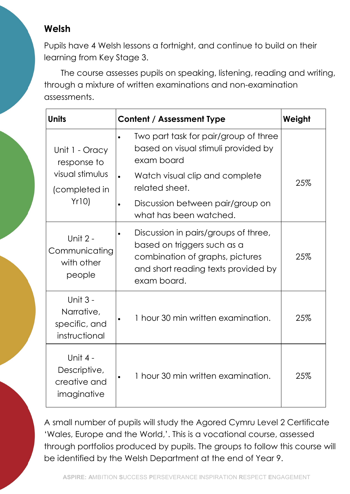# Welsh

Pupils have 4 Welsh lessons a fortnight, and continue to build on their learning from Key Stage 3.

The course assesses pupils on speaking, listening, reading and writing, through a mixture of written examinations and non-examination assessments.

| <b>Units</b>                                                              | <b>Content / Assessment Type</b>                                                                                                                                                                                                                    | Weight |
|---------------------------------------------------------------------------|-----------------------------------------------------------------------------------------------------------------------------------------------------------------------------------------------------------------------------------------------------|--------|
| Unit 1 - Oracy<br>response to<br>visual stimulus<br>(completed in<br>Yr10 | Two part task for pair/group of three<br>$\bullet$<br>based on visual stimuli provided by<br>exam board<br>Watch visual clip and complete<br>$\bullet$<br>related sheet.<br>Discussion between pair/group on<br>$\bullet$<br>what has been watched. | 25%    |
| Unit 2 -<br>Communicating<br>with other<br>people                         | Discussion in pairs/groups of three,<br>based on triggers such as a<br>combination of graphs, pictures<br>and short reading texts provided by<br>exam board.                                                                                        | 25%    |
| Unit 3 -<br>Narrative,<br>specific, and<br>instructional                  | 1 hour 30 min written examination.                                                                                                                                                                                                                  | 25%    |
| Unit 4 -<br>Descriptive,<br>creative and<br>imaginative                   | 1 hour 30 min written examination.                                                                                                                                                                                                                  | 25%    |

A small number of pupils will study the Agored Cymru Level 2 Certificate 'Wales, Europe and the World,'. This is a vocational course, assessed through portfolios produced by pupils. The groups to follow this course will be identified by the Welsh Department at the end of Year 9.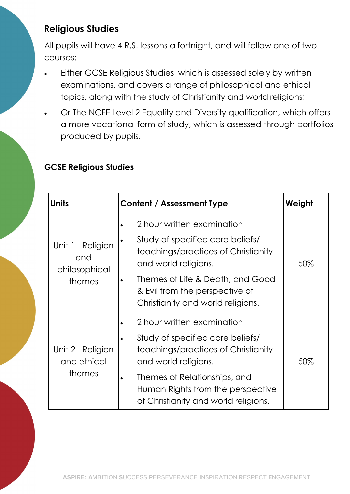# Religious Studies

All pupils will have 4 R.S. lessons a fortnight, and will follow one of two courses:

- Either GCSE Religious Studies, which is assessed solely by written examinations, and covers a range of philosophical and ethical topics, along with the study of Christianity and world religions;
- · Or The NCFE Level 2 Equality and Diversity qualification, which offers a more vocational form of study, which is assessed through portfolios produced by pupils.

### GCSE Religious Studies

| Units                                               | Content / Assessment Type                                                                                                     | Weight |
|-----------------------------------------------------|-------------------------------------------------------------------------------------------------------------------------------|--------|
| Unit 1 - Religion<br>and<br>philosophical<br>themes | 2 hour written examination<br>Study of specified core beliefs/                                                                |        |
|                                                     | teachings/practices of Christianity<br>and world religions.                                                                   | 50%    |
|                                                     | Themes of Life & Death, and Good<br>& Evil from the perspective of<br>Christianity and world religions.                       |        |
| Unit 2 - Religion<br>and ethical<br>themes          | 2 hour written examination<br>Study of specified core beliefs/<br>teachings/practices of Christianity<br>and world religions. | 50%    |
|                                                     | Themes of Relationships, and<br>Human Rights from the perspective<br>of Christianity and world religions.                     |        |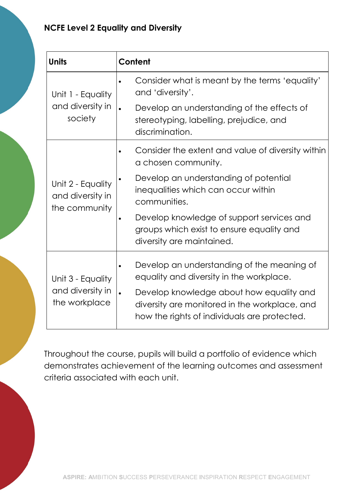### NCFE Level 2 Equality and Diversity

| <b>Units</b>                                           | Content                                                                                                                                   |
|--------------------------------------------------------|-------------------------------------------------------------------------------------------------------------------------------------------|
| Unit 1 - Equality<br>and diversity in<br>society       | Consider what is meant by the terms 'equality'<br>$\bullet$<br>and 'diversity'.                                                           |
|                                                        | Develop an understanding of the effects of<br>$\bullet$<br>stereotyping, labelling, prejudice, and<br>discrimination.                     |
| Unit 2 - Equality<br>and diversity in<br>the community | Consider the extent and value of diversity within<br>a chosen community.                                                                  |
|                                                        | Develop an understanding of potential<br>$\bullet$<br>inequalities which can occur within<br>communities.                                 |
|                                                        | Develop knowledge of support services and<br>groups which exist to ensure equality and<br>diversity are maintained.                       |
| Unit 3 - Equality<br>and diversity in<br>the workplace | Develop an understanding of the meaning of<br>$\bullet$<br>equality and diversity in the workplace.                                       |
|                                                        | Develop knowledge about how equality and<br>diversity are monitored in the workplace, and<br>how the rights of individuals are protected. |

Throughout the course, pupils will build a portfolio of evidence which demonstrates achievement of the learning outcomes and assessment criteria associated with each unit.